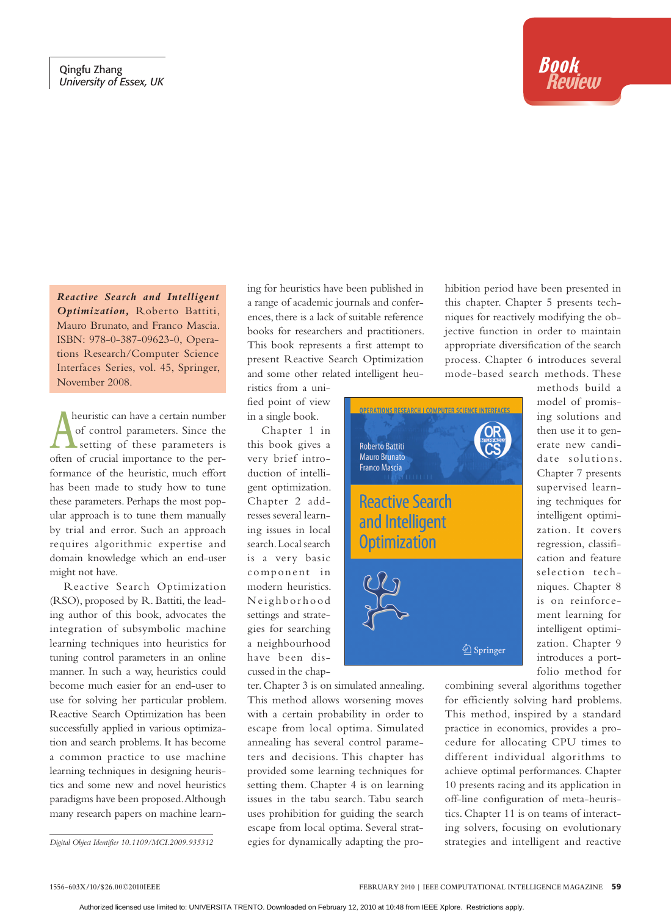*Reactive Search and Intelligent Optimization,* Roberto Battiti, Mauro Brunato, and Franco Mascia. ISBN: 978-0-387-09623-0, Operations Research/Computer Science Interfaces Series, vol. 45, Springer, November 2008.

 heuristic can have a certain number of control parameters. Since the setting of these parameters is of control parameters. Since the<br>setting of these parameters is<br>often of crucial importance to the performance of the heuristic, much effort has been made to study how to tune these parameters. Perhaps the most popular approach is to tune them manually by trial and error. Such an approach requires algorithmic expertise and domain knowledge which an end-user might not have.

Reactive Search Optimization (RSO), proposed by R. Battiti, the leading author of this book, advocates the integration of subsymbolic machine learning techniques into heuristics for tuning control parameters in an online manner. In such a way, heuristics could become much easier for an end-user to use for solving her particular problem. Reactive Search Optimization has been successfully applied in various optimization and search problems. It has become a common practice to use machine learning techniques in designing heuristics and some new and novel heuristics paradigms have been proposed. Although many research papers on machine learn-

*Digital Object Identifier 10.1109/MCI.2009.935312*

ing for heuristics have been published in a range of academic journals and conferences, there is a lack of suitable reference books for researchers and practitioners. This book represents a first attempt to present Reactive Search Optimization and some other related intelligent heu-

ristics from a unified point of view in a single book.

Chapter 1 in this book gives a very brief introduction of intelligent optimization. Chapter 2 addresses several learning issues in local search. Local search is a very basic component in modern heuristics. Neighborhood settings and strategies for searching a neighbourhood have been discussed in the chap-

ter. Chapter 3 is on simulated annealing. This method allows worsening moves with a certain probability in order to escape from local optima. Simulated annealing has several control parameters and decisions. This chapter has provided some learning techniques for setting them. Chapter 4 is on learning issues in the tabu search. Tabu search uses prohibition for guiding the search escape from local optima. Several strategies for dynamically adapting the pro-

**OPERATIONS RESEARCH I COMPUTER SCIENCE INTERFACES Roberto Battiti Mauro Brunato Franco Mascia Reactive Search** and Intelligent **Optimization** 2 Springer

hibition period have been presented in this chapter. Chapter 5 presents techniques for reactively modifying the objective function in order to maintain appropriate diversification of the search process. Chapter 6 introduces several mode-based search methods. These

> methods build a model of promising solutions and then use it to generate new candidate solutions. Chapter 7 presents supervised learning techniques for intelligent optimization. It covers regression, classification and feature selection techniques. Chapter 8 is on reinforcement learning for intelligent optimization. Chapter 9 introduces a portfolio method for

combining several algorithms together for efficiently solving hard problems. This method, inspired by a standard practice in economics, provides a procedure for allocating CPU times to different individual algorithms to achieve optimal performances. Chapter 10 presents racing and its application in off-line configuration of meta-heuristics. Chapter 11 is on teams of interacting solvers, focusing on evolutionary strategies and intelligent and reactive